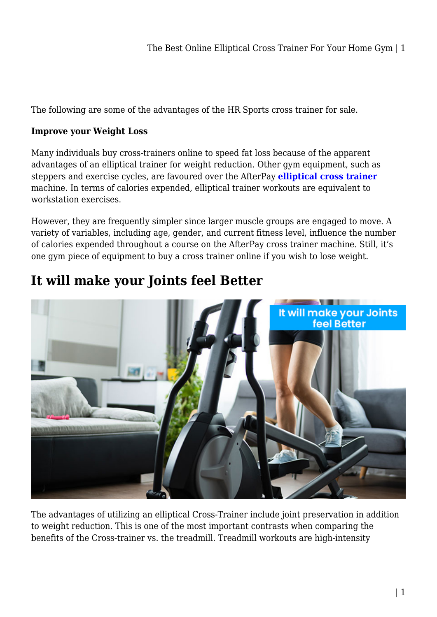The following are some of the advantages of the HR Sports cross trainer for sale.

#### **Improve your Weight Loss**

Many individuals buy cross-trainers online to speed fat loss because of the apparent advantages of an elliptical trainer for weight reduction. Other gym equipment, such as steppers and exercise cycles, are favoured over the AfterPay **[elliptical cross trainer](https://www.hr-sports.com.au/fitness/cross-trainer/)** machine. In terms of calories expended, elliptical trainer workouts are equivalent to workstation exercises.

However, they are frequently simpler since larger muscle groups are engaged to move. A variety of variables, including age, gender, and current fitness level, influence the number of calories expended throughout a course on the AfterPay cross trainer machine. Still, it's one gym piece of equipment to buy a cross trainer online if you wish to lose weight.

# It will make your Joints feel Better

#### **It will make your Joints feel Better**

The advantages of utilizing an elliptical Cross-Trainer include joint preservation in addition to weight reduction. This is one of the most important contrasts when comparing the benefits of the Cross-trainer vs. the treadmill. Treadmill workouts are high-intensity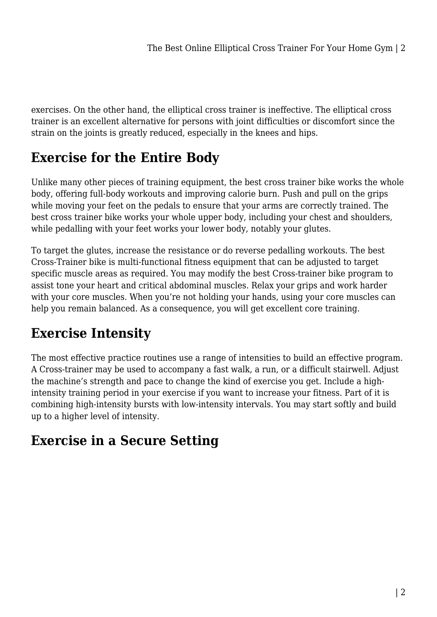exercises. On the other hand, the elliptical cross trainer is ineffective. The elliptical cross trainer is an excellent alternative for persons with joint difficulties or discomfort since the strain on the joints is greatly reduced, especially in the knees and hips.

#### **Exercise for the Entire Body**

Unlike many other pieces of training equipment, the best cross trainer bike works the whole body, offering full-body workouts and improving calorie burn. Push and pull on the grips while moving your feet on the pedals to ensure that your arms are correctly trained. The best cross trainer bike works your whole upper body, including your chest and shoulders, while pedalling with your feet works your lower body, notably your glutes.

To target the glutes, increase the resistance or do reverse pedalling workouts. The best Cross-Trainer bike is multi-functional fitness equipment that can be adjusted to target specific muscle areas as required. You may modify the best Cross-trainer bike program to assist tone your heart and critical abdominal muscles. Relax your grips and work harder with your core muscles. When you're not holding your hands, using your core muscles can help you remain balanced. As a consequence, you will get excellent core training.

### **Exercise Intensity**

The most effective practice routines use a range of intensities to build an effective program. A Cross-trainer may be used to accompany a fast walk, a run, or a difficult stairwell. Adjust the machine's strength and pace to change the kind of exercise you get. Include a highintensity training period in your exercise if you want to increase your fitness. Part of it is combining high-intensity bursts with low-intensity intervals. You may start softly and build up to a higher level of intensity.

#### **Exercise in a Secure Setting**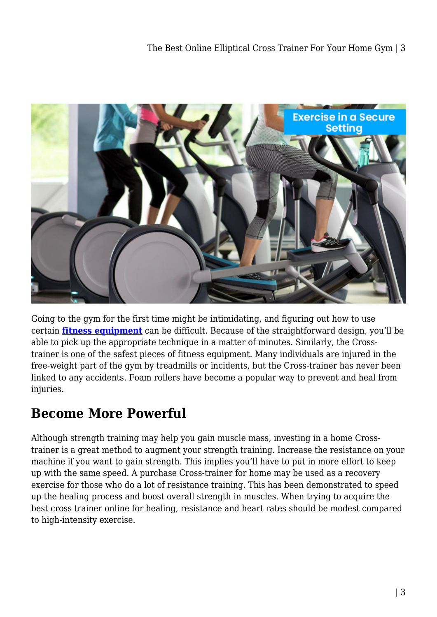

Going to the gym for the first time might be intimidating, and figuring out how to use certain **[fitness equipment](https://www.hr-sports.com.au/fitness/cross-trainer/)** can be difficult. Because of the straightforward design, you'll be able to pick up the appropriate technique in a matter of minutes. Similarly, the Crosstrainer is one of the safest pieces of fitness equipment. Many individuals are injured in the free-weight part of the gym by treadmills or incidents, but the Cross-trainer has never been linked to any accidents. Foam rollers have become a popular way to prevent and heal from injuries.

#### **Become More Powerful**

Although strength training may help you gain muscle mass, investing in a home Crosstrainer is a great method to augment your strength training. Increase the resistance on your machine if you want to gain strength. This implies you'll have to put in more effort to keep up with the same speed. A purchase Cross-trainer for home may be used as a recovery exercise for those who do a lot of resistance training. This has been demonstrated to speed up the healing process and boost overall strength in muscles. When trying to acquire the best cross trainer online for healing, resistance and heart rates should be modest compared to high-intensity exercise.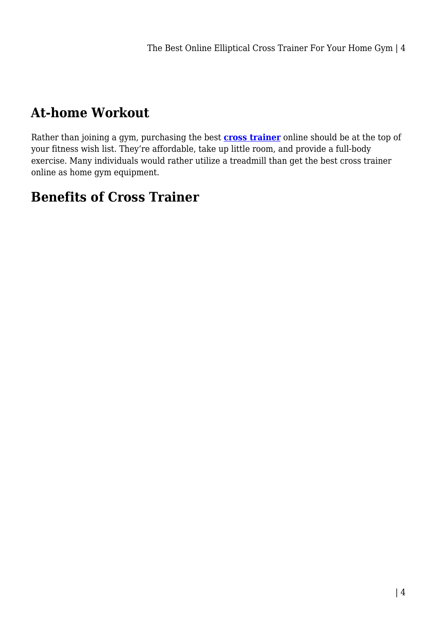#### **At-home Workout**

Rather than joining a gym, purchasing the best **[cross trainer](https://www.hr-sports.com.au/fitness/cross-trainer/)** online should be at the top of your fitness wish list. They're affordable, take up little room, and provide a full-body exercise. Many individuals would rather utilize a treadmill than get the best cross trainer online as home gym equipment.

#### **Benefits of Cross Trainer**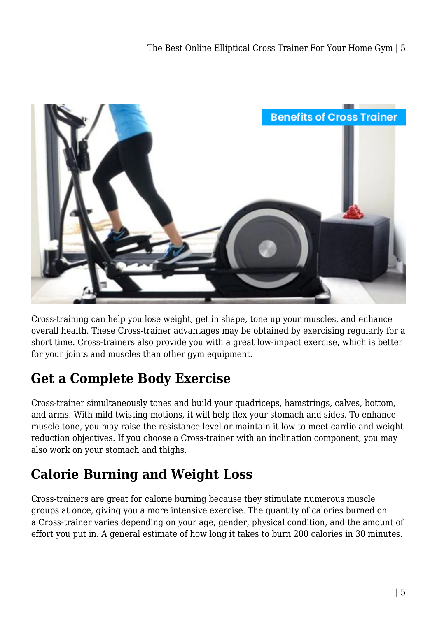

Cross-training can help you lose weight, get in shape, tone up your muscles, and enhance overall health. These Cross-trainer advantages may be obtained by exercising regularly for a short time. Cross-trainers also provide you with a great low-impact exercise, which is better for your joints and muscles than other gym equipment.

#### **Get a Complete Body Exercise**

Cross-trainer simultaneously tones and build your quadriceps, hamstrings, calves, bottom, and arms. With mild twisting motions, it will help flex your stomach and sides. To enhance muscle tone, you may raise the resistance level or maintain it low to meet cardio and weight reduction objectives. If you choose a Cross-trainer with an inclination component, you may also work on your stomach and thighs.

#### **Calorie Burning and Weight Loss**

Cross-trainers are great for calorie burning because they stimulate numerous muscle groups at once, giving you a more intensive exercise. The quantity of calories burned on a Cross-trainer varies depending on your age, gender, physical condition, and the amount of effort you put in. A general estimate of how long it takes to burn 200 calories in 30 minutes.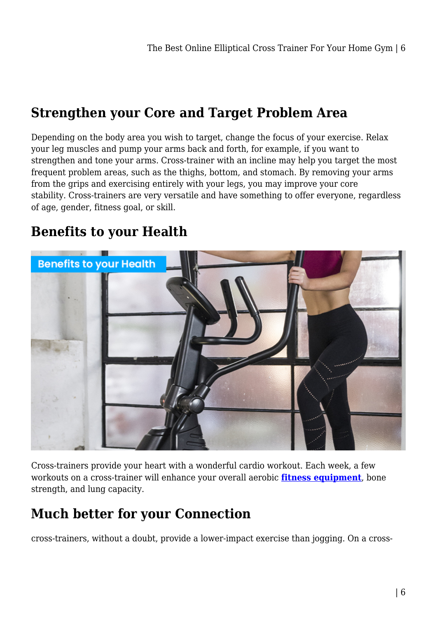#### **Strengthen your Core and Target Problem Area**

Depending on the body area you wish to target, change the focus of your exercise. Relax your leg muscles and pump your arms back and forth, for example, if you want to strengthen and tone your arms. Cross-trainer with an incline may help you target the most frequent problem areas, such as the thighs, bottom, and stomach. By removing your arms from the grips and exercising entirely with your legs, you may improve your core stability. Cross-trainers are very versatile and have something to offer everyone, regardless of age, gender, fitness goal, or skill.

#### **Benefits to your Health**



Cross-trainers provide your heart with a wonderful cardio workout. Each week, a few workouts on a cross-trainer will enhance your overall aerobic **[fitness equipment](https://fifocapitalcoralsea.com.au/category/fitness/)**, bone strength, and lung capacity.

#### **Much better for your Connection**

cross-trainers, without a doubt, provide a lower-impact exercise than jogging. On a cross-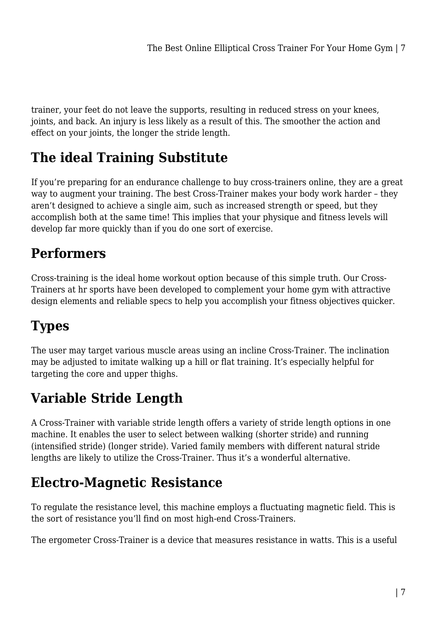trainer, your feet do not leave the supports, resulting in reduced stress on your knees, joints, and back. An injury is less likely as a result of this. The smoother the action and effect on your joints, the longer the stride length.

#### **The ideal Training Substitute**

If you're preparing for an endurance challenge to buy cross-trainers online, they are a great way to augment your training. The best Cross-Trainer makes your body work harder – they aren't designed to achieve a single aim, such as increased strength or speed, but they accomplish both at the same time! This implies that your physique and fitness levels will develop far more quickly than if you do one sort of exercise.

# **Performers**

Cross-training is the ideal home workout option because of this simple truth. Our Cross-Trainers at hr sports have been developed to complement your home gym with attractive design elements and reliable specs to help you accomplish your fitness objectives quicker.

# **Types**

The user may target various muscle areas using an incline Cross-Trainer. The inclination may be adjusted to imitate walking up a hill or flat training. It's especially helpful for targeting the core and upper thighs.

### **Variable Stride Length**

A Cross-Trainer with variable stride length offers a variety of stride length options in one machine. It enables the user to select between walking (shorter stride) and running (intensified stride) (longer stride). Varied family members with different natural stride lengths are likely to utilize the Cross-Trainer. Thus it's a wonderful alternative.

#### **Electro-Magnetic Resistance**

To regulate the resistance level, this machine employs a fluctuating magnetic field. This is the sort of resistance you'll find on most high-end Cross-Trainers.

The ergometer Cross-Trainer is a device that measures resistance in watts. This is a useful